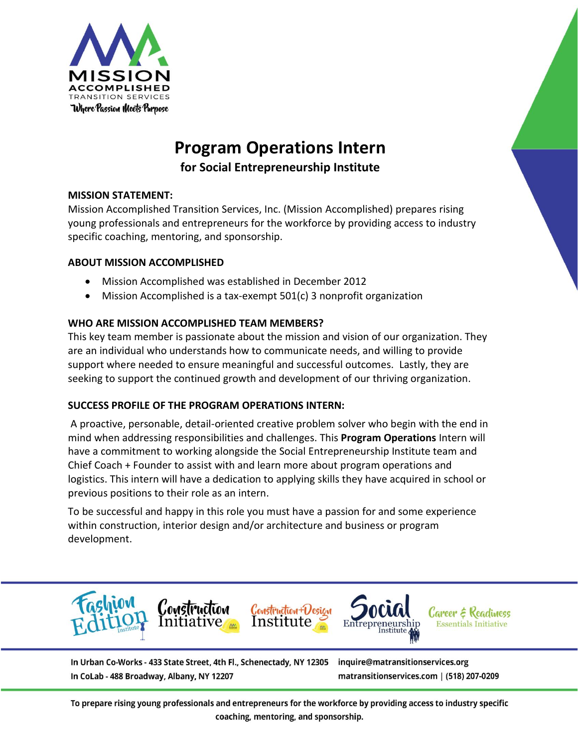

# **Program Operations Intern for Social Entrepreneurship Institute**

## **MISSION STATEMENT:**

Mission Accomplished Transition Services, Inc. (Mission Accomplished) prepares rising young professionals and entrepreneurs for the workforce by providing access to industry specific coaching, mentoring, and sponsorship.

# **ABOUT MISSION ACCOMPLISHED**

- Mission Accomplished was established in December 2012
- Mission Accomplished is a tax-exempt 501(c) 3 nonprofit organization

# **WHO ARE MISSION ACCOMPLISHED TEAM MEMBERS?**

This key team member is passionate about the mission and vision of our organization. They are an individual who understands how to communicate needs, and willing to provide support where needed to ensure meaningful and successful outcomes. Lastly, they are seeking to support the continued growth and development of our thriving organization.

## **SUCCESS PROFILE OF THE PROGRAM OPERATIONS INTERN:**

A proactive, personable, detail-oriented creative problem solver who begin with the end in mind when addressing responsibilities and challenges. This **Program Operations** Intern will have a commitment to working alongside the Social Entrepreneurship Institute team and Chief Coach + Founder to assist with and learn more about program operations and logistics. This intern will have a dedication to applying skills they have acquired in school or previous positions to their role as an intern.

To be successful and happy in this role you must have a passion for and some experience within construction, interior design and/or architecture and business or program development.



In Urban Co-Works - 433 State Street, 4th Fl., Schenectady, NY 12305 In CoLab - 488 Broadway, Albany, NY 12207

inquire@matransitionservices.org matransitionservices.com | (518) 207-0209

To prepare rising young professionals and entrepreneurs for the workforce by providing access to industry specific coaching, mentoring, and sponsorship.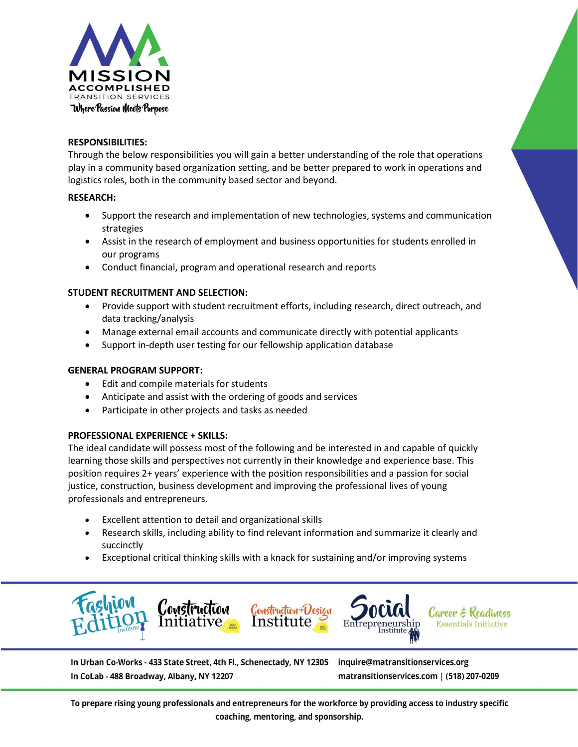

#### **RESPONSIBILITIES:**

Through the below responsibilities you will gain a better understanding of the role that operations play in a community based organization setting, and be better prepared to work in operations and logistics roles, both in the community based sector and beyond.

#### **RESEARCH:**

- Support the research and implementation of new technologies, systems and communication strategies
- Assist in the research of employment and business opportunities for students enrolled in our programs
- Conduct financial, program and operational research and reports

## **STUDENT RECRUITMENT AND SELECTION:**

- Provide support with student recruitment efforts, including research, direct outreach, and data tracking/analysis
- Manage external email accounts and communicate directly with potential applicants
- Support in-depth user testing for our fellowship application database

## **GENERAL PROGRAM SUPPORT:**

- Edit and compile materials for students
- Anticipate and assist with the ordering of goods and services
- Participate in other projects and tasks as needed

## **PROFESSIONAL EXPERIENCE + SKILLS:**

The ideal candidate will possess most of the following and be interested in and capable of quickly learning those skills and perspectives not currently in their knowledge and experience base. This position requires 2+ years' experience with the position responsibilities and a passion for social justice, construction, business development and improving the professional lives of young professionals and entrepreneurs.

- Excellent attention to detail and organizational skills
- Research skills, including ability to find relevant information and summarize it clearly and succinctly
- Exceptional critical thinking skills with a knack for sustaining and/or improving systems



In Urban Co-Works - 433 State Street, 4th Fl., Schenectady, NY 12305 In CoLab - 488 Broadway, Albany, NY 12207

inquire@matransitionservices.org matransitionservices.com | (518) 207-0209

To prepare rising young professionals and entrepreneurs for the workforce by providing access to industry specific coaching, mentoring, and sponsorship.